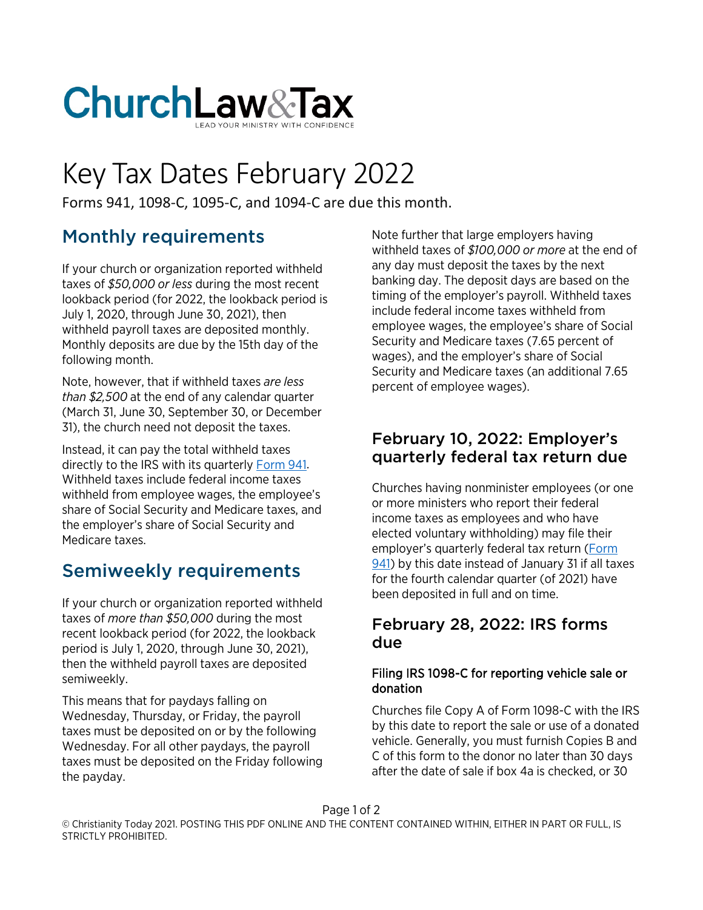

# Key Tax Dates February 2022

Forms 941, 1098-C, 1095-C, and 1094-C are due this month.

# Monthly requirements

If your church or organization reported withheld taxes of *\$50,000 or less* during the most recent lookback period (for 2022, the lookback period is July 1, 2020, through June 30, 2021), then withheld payroll taxes are deposited monthly. Monthly deposits are due by the 15th day of the following month.

Note, however, that if withheld taxes *are less than \$2,500* at the end of any calendar quarter (March 31, June 30, September 30, or December 31), the church need not deposit the taxes.

Instead, it can pay the total withheld taxes directly to the IRS with its quarterly [Form 941.](https://www.churchlawandtax.com/cltr/1992/september-october/form-941.html) Withheld taxes include federal income taxes withheld from employee wages, the employee's share of Social Security and Medicare taxes, and the employer's share of Social Security and Medicare taxes.

## Semiweekly requirements

If your church or organization reported withheld taxes of *more than \$50,000* during the most recent lookback period (for 2022, the lookback period is July 1, 2020, through June 30, 2021), then the withheld payroll taxes are deposited semiweekly.

This means that for paydays falling on Wednesday, Thursday, or Friday, the payroll taxes must be deposited on or by the following Wednesday. For all other paydays, the payroll taxes must be deposited on the Friday following the payday.

Note further that large employers having withheld taxes of *\$100,000 or more* at the end of any day must deposit the taxes by the next banking day. The deposit days are based on the timing of the employer's payroll. Withheld taxes include federal income taxes withheld from employee wages, the employee's share of Social Security and Medicare taxes (7.65 percent of wages), and the employer's share of Social Security and Medicare taxes (an additional 7.65 percent of employee wages).

## February 10, 2022: Employer's quarterly federal tax return due

Churches having nonminister employees (or one or more ministers who report their federal income taxes as employees and who have elected voluntary withholding) may file their employer's quarterly federal tax return [\(Form](https://www.churchlawandtax.com/cltr/1992/september-october/form-941.html)  [941\)](https://www.churchlawandtax.com/cltr/1992/september-october/form-941.html) by this date instead of January 31 if all taxes for the fourth calendar quarter (of 2021) have been deposited in full and on time.

### February 28, 2022: IRS forms due

#### Filing IRS 1098-C for reporting vehicle sale or donation

Churches file Copy A of Form 1098-C with the IRS by this date to report the sale or use of a donated vehicle. Generally, you must furnish Copies B and C of this form to the donor no later than 30 days after the date of sale if box 4a is checked, or 30

Page 1 of 2

© Christianity Today 2021. POSTING THIS PDF ONLINE AND THE CONTENT CONTAINED WITHIN, EITHER IN PART OR FULL, IS STRICTLY PROHIBITED.